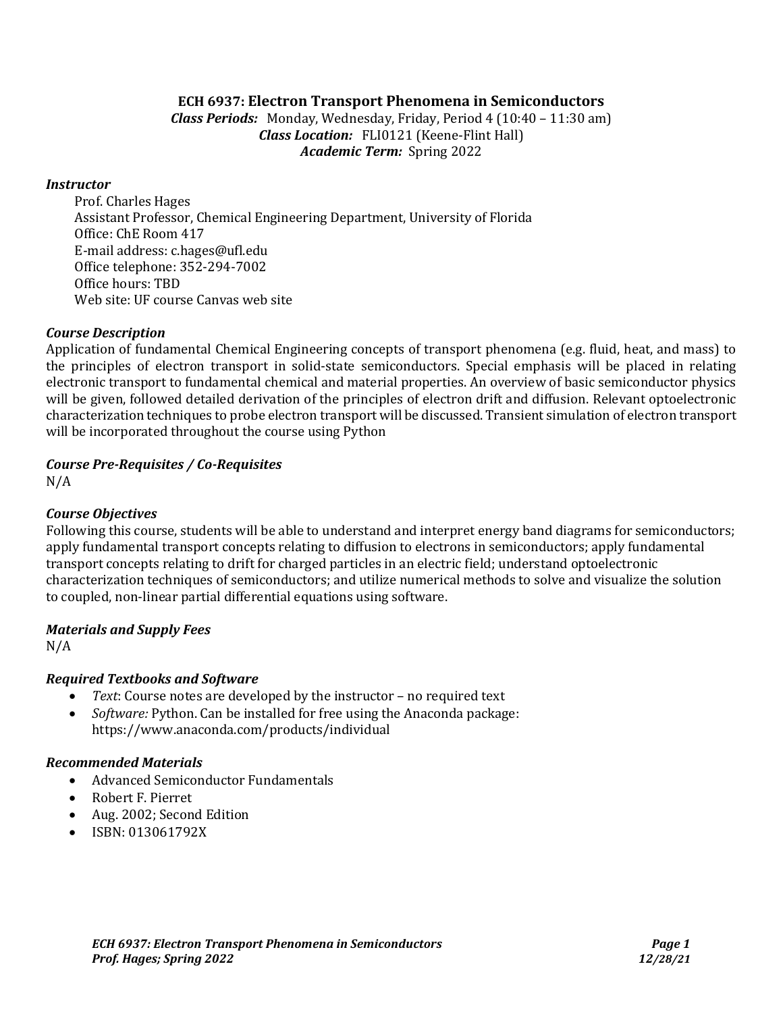### **ECH 6937: Electron Transport Phenomena in Semiconductors**

*Class Periods:* Monday, Wednesday, Friday, Period 4 (10:40 – 11:30 am) *Class Location:* FLI0121 (Keene-Flint Hall) *Academic Term:* Spring 2022

#### *Instructor*

Prof. Charles Hages Assistant Professor, Chemical Engineering Department, University of Florida Office: ChE Room 417 E-mail address[: c.hages@ufl.edu](mailto:c.hages@ufl.edu) Office telephone: 352-294-7002 Office hours: TBD Web site: UF course Canvas web site

#### *Course Description*

Application of fundamental Chemical Engineering concepts of transport phenomena (e.g. fluid, heat, and mass) to the principles of electron transport in solid-state semiconductors. Special emphasis will be placed in relating electronic transport to fundamental chemical and material properties. An overview of basic semiconductor physics will be given, followed detailed derivation of the principles of electron drift and diffusion. Relevant optoelectronic characterization techniques to probe electron transport will be discussed. Transient simulation of electron transport will be incorporated throughout the course using Python

### *Course Pre-Requisites / Co-Requisites*

N/A

### *Course Objectives*

Following this course, students will be able to understand and interpret energy band diagrams for semiconductors; apply fundamental transport concepts relating to diffusion to electrons in semiconductors; apply fundamental transport concepts relating to drift for charged particles in an electric field; understand optoelectronic characterization techniques of semiconductors; and utilize numerical methods to solve and visualize the solution to coupled, non-linear partial differential equations using software.

### *Materials and Supply Fees*

N/A

### *Required Textbooks and Software*

- *Text*: Course notes are developed by the instructor no required text
- *Software:* Python. Can be installed for free using the Anaconda package: https://www.anaconda.com/products/individual

### *Recommended Materials*

- Advanced Semiconductor Fundamentals
- Robert F. Pierret
- Aug. 2002; Second Edition
- ISBN: 013061792X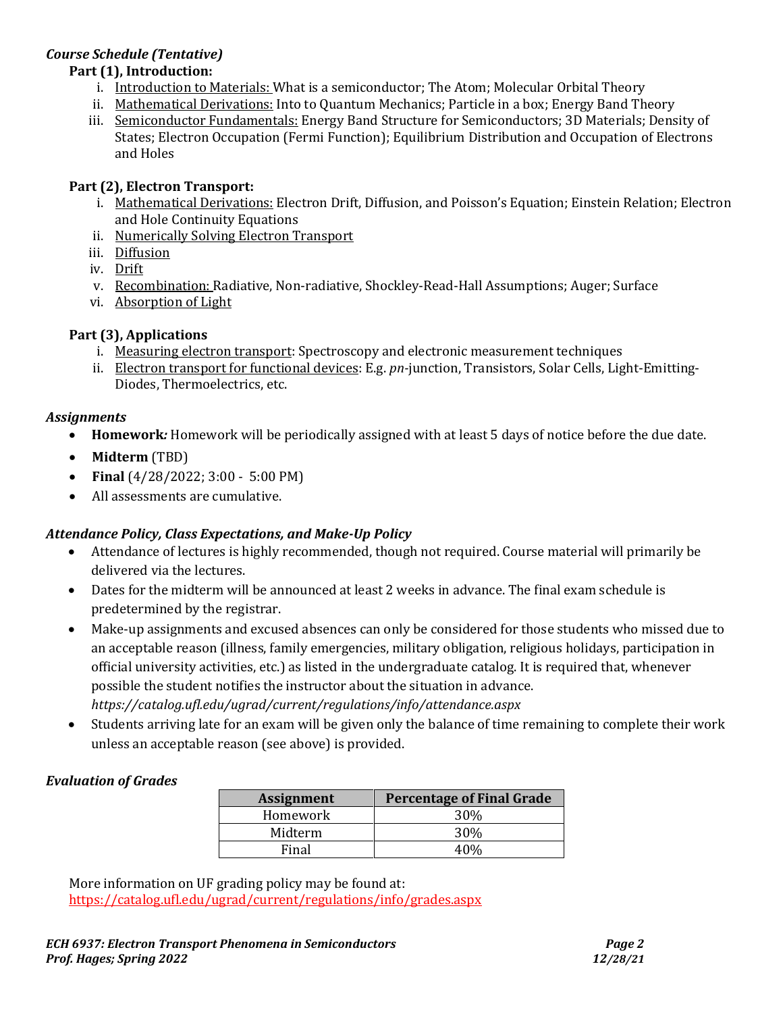# *Course Schedule (Tentative)*

### **Part (1), Introduction:**

- i. Introduction to Materials: What is a semiconductor; The Atom; Molecular Orbital Theory
- ii. Mathematical Derivations: Into to Quantum Mechanics; Particle in a box; Energy Band Theory
- iii. Semiconductor Fundamentals: Energy Band Structure for Semiconductors; 3D Materials; Density of States; Electron Occupation (Fermi Function); Equilibrium Distribution and Occupation of Electrons and Holes

## **Part (2), Electron Transport:**

- i. Mathematical Derivations: Electron Drift, Diffusion, and Poisson's Equation; Einstein Relation; Electron and Hole Continuity Equations
- ii. Numerically Solving Electron Transport
- iii. Diffusion
- iv. Drift
- v. Recombination: Radiative, Non-radiative, Shockley-Read-Hall Assumptions; Auger; Surface
- vi. Absorption of Light

### **Part (3), Applications**

- i. Measuring electron transport: Spectroscopy and electronic measurement techniques
- ii. Electron transport for functional devices: E.g. *pn-*junction, Transistors, Solar Cells, Light-Emitting-Diodes, Thermoelectrics, etc.

### *Assignments*

- **Homework***:* Homework will be periodically assigned with at least 5 days of notice before the due date.
- **Midterm** (TBD)
- **Final** (4/28/2022; 3:00 5:00 PM)
- All assessments are cumulative.

# *Attendance Policy, Class Expectations, and Make-Up Policy*

- Attendance of lectures is highly recommended, though not required. Course material will primarily be delivered via the lectures.
- Dates for the midterm will be announced at least 2 weeks in advance. The final exam schedule is predetermined by the registrar.
- Make-up assignments and excused absences can only be considered for those students who missed due to an acceptable reason (illness, family emergencies, military obligation, religious holidays, participation in official university activities, etc.) as listed in the undergraduate catalog. It is required that, whenever possible the student notifies the instructor about the situation in advance. *https://catalog.ufl.edu/ugrad/current/regulations/info/attendance.aspx*
- Students arriving late for an exam will be given only the balance of time remaining to complete their work unless an acceptable reason (see above) is provided.

# *Evaluation of Grades*

| <b>Assignment</b> | <b>Percentage of Final Grade</b> |  |
|-------------------|----------------------------------|--|
| Homework          | 30%                              |  |
| Midterm           | 30%                              |  |
| Final             | 40%                              |  |

More information on UF grading policy may be found at: <https://catalog.ufl.edu/ugrad/current/regulations/info/grades.aspx>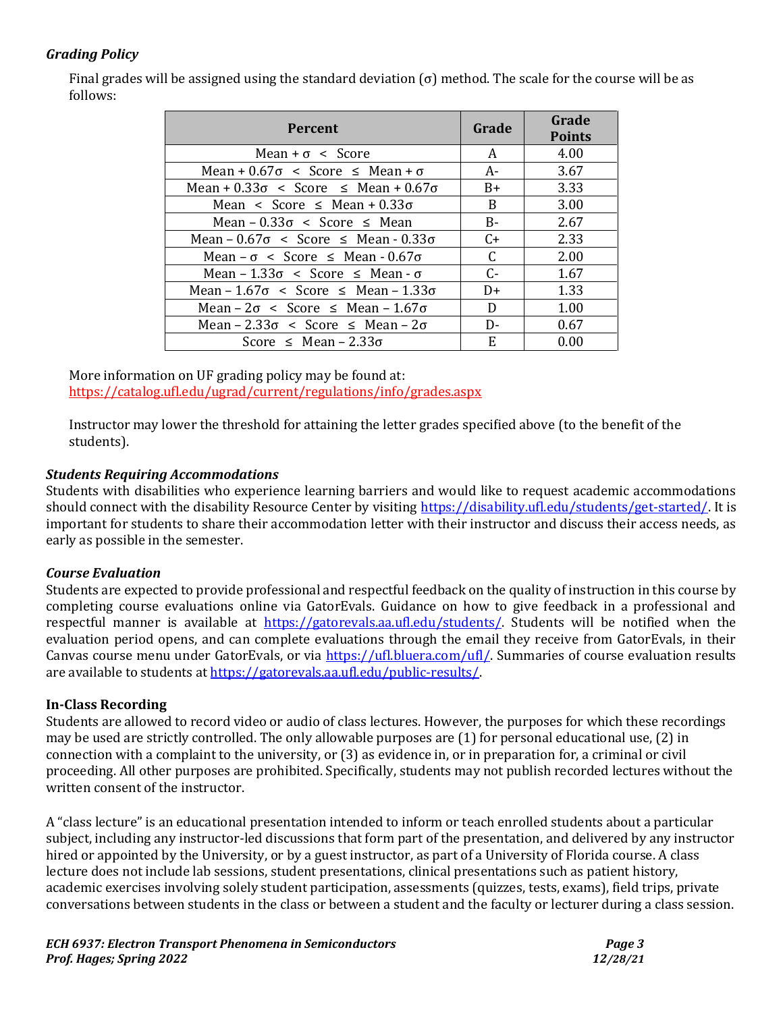### *Grading Policy*

Final grades will be assigned using the standard deviation (σ) method. The scale for the course will be as follows:

| <b>Percent</b>                                         | Grade     | Grade<br><b>Points</b> |
|--------------------------------------------------------|-----------|------------------------|
| Mean + $\sigma$ < Score                                | A         | 4.00                   |
| Mean + $0.67\sigma <$ Score $\leq$ Mean + $\sigma$     | $A-$      | 3.67                   |
| Mean + $0.33\sigma$ < Score $\leq$ Mean + $0.67\sigma$ | $B+$      | 3.33                   |
| Mean < Score $\leq$ Mean + 0.33 $\sigma$               | B         | 3.00                   |
| Mean $-0.33\sigma <$ Score $\leq$ Mean                 | $B-$      | 2.67                   |
| Mean $-0.67\sigma <$ Score $\leq$ Mean $-0.33\sigma$   | $C_{\pm}$ | 2.33                   |
| Mean – $\sigma$ < Score $\leq$ Mean - 0.67 $\sigma$    | C         | 2.00                   |
| Mean - $1.33\sigma$ < Score $\leq$ Mean - $\sigma$     | $C -$     | 1.67                   |
| Mean $-1.67\sigma <$ Score $\leq$ Mean $-1.33\sigma$   | D+        | 1.33                   |
| Mean $-2\sigma <$ Score $\leq$ Mean $-1.67\sigma$      | D         | 1.00                   |
| Mean - $2.33\sigma$ < Score $\leq$ Mean - $2\sigma$    | D-        | 0.67                   |
| Score $\leq$ Mean – 2.33 $\sigma$                      | E         | 0.00                   |

More information on UF grading policy may be found at: <https://catalog.ufl.edu/ugrad/current/regulations/info/grades.aspx>

Instructor may lower the threshold for attaining the letter grades specified above (to the benefit of the students).

### *Students Requiring Accommodations*

Students with disabilities who experience learning barriers and would like to request academic accommodations should connect with the disability Resource Center by visiting [https://disability.ufl.edu/students/get-started/.](https://disability.ufl.edu/students/get-started/) It is important for students to share their accommodation letter with their instructor and discuss their access needs, as early as possible in the semester.

### *Course Evaluation*

Students are expected to provide professional and respectful feedback on the quality of instruction in this course by completing course evaluations online via GatorEvals. Guidance on how to give feedback in a professional and respectful manner is available at [https://gatorevals.aa.ufl.edu/students/.](https://gatorevals.aa.ufl.edu/students/) Students will be notified when the evaluation period opens, and can complete evaluations through the email they receive from GatorEvals, in their Canvas course menu under GatorEvals, or via [https://ufl.bluera.com/ufl/.](https://ufl.bluera.com/ufl/) Summaries of course evaluation results are available to students a[t https://gatorevals.aa.ufl.edu/public-results/.](https://gatorevals.aa.ufl.edu/public-results/)

### **In-Class Recording**

Students are allowed to record video or audio of class lectures. However, the purposes for which these recordings may be used are strictly controlled. The only allowable purposes are (1) for personal educational use, (2) in connection with a complaint to the university, or (3) as evidence in, or in preparation for, a criminal or civil proceeding. All other purposes are prohibited. Specifically, students may not publish recorded lectures without the written consent of the instructor.

A "class lecture" is an educational presentation intended to inform or teach enrolled students about a particular subject, including any instructor-led discussions that form part of the presentation, and delivered by any instructor hired or appointed by the University, or by a guest instructor, as part of a University of Florida course. A class lecture does not include lab sessions, student presentations, clinical presentations such as patient history, academic exercises involving solely student participation, assessments (quizzes, tests, exams), field trips, private conversations between students in the class or between a student and the faculty or lecturer during a class session.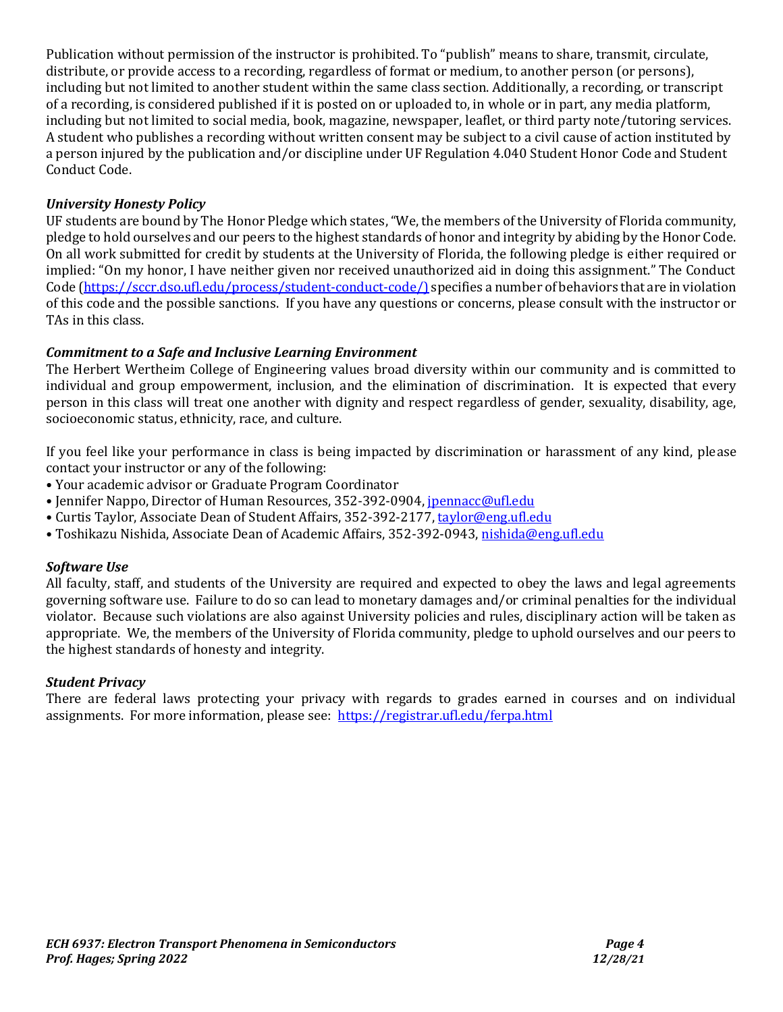Publication without permission of the instructor is prohibited. To "publish" means to share, transmit, circulate, distribute, or provide access to a recording, regardless of format or medium, to another person (or persons), including but not limited to another student within the same class section. Additionally, a recording, or transcript of a recording, is considered published if it is posted on or uploaded to, in whole or in part, any media platform, including but not limited to social media, book, magazine, newspaper, leaflet, or third party note/tutoring services. A student who publishes a recording without written consent may be subject to a civil cause of action instituted by a person injured by the publication and/or discipline under UF Regulation 4.040 Student Honor Code and Student Conduct Code.

### *University Honesty Policy*

UF students are bound by The Honor Pledge which states, "We, the members of the University of Florida community, pledge to hold ourselves and our peers to the highest standards of honor and integrity by abiding by the Honor Code. On all work submitted for credit by students at the University of Florida, the following pledge is either required or implied: "On my honor, I have neither given nor received unauthorized aid in doing this assignment." The Conduct Code [\(https://sccr.dso.ufl.edu/process/student-conduct-code/\)](https://sccr.dso.ufl.edu/process/student-conduct-code/) specifies a number of behaviors that are in violation of this code and the possible sanctions. If you have any questions or concerns, please consult with the instructor or TAs in this class.

### *Commitment to a Safe and Inclusive Learning Environment*

The Herbert Wertheim College of Engineering values broad diversity within our community and is committed to individual and group empowerment, inclusion, and the elimination of discrimination. It is expected that every person in this class will treat one another with dignity and respect regardless of gender, sexuality, disability, age, socioeconomic status, ethnicity, race, and culture.

If you feel like your performance in class is being impacted by discrimination or harassment of any kind, please contact your instructor or any of the following:

- Your academic advisor or Graduate Program Coordinator
- Jennifer Nappo, Director of Human Resources, 352-392-0904, [jpennacc@ufl.edu](mailto:jpennacc@ufl.edu)
- Curtis Taylor, Associate Dean of Student Affairs, 352-392-2177[, taylor@eng.ufl.edu](mailto:taylor@eng.ufl.edu)
- Toshikazu Nishida, Associate Dean of Academic Affairs, 352-392-0943[, nishida@eng.ufl.edu](mailto:nishida@eng.ufl.edu)

### *Software Use*

All faculty, staff, and students of the University are required and expected to obey the laws and legal agreements governing software use. Failure to do so can lead to monetary damages and/or criminal penalties for the individual violator. Because such violations are also against University policies and rules, disciplinary action will be taken as appropriate. We, the members of the University of Florida community, pledge to uphold ourselves and our peers to the highest standards of honesty and integrity.

### *Student Privacy*

There are federal laws protecting your privacy with regards to grades earned in courses and on individual assignments. For more information, please see: <https://registrar.ufl.edu/ferpa.html>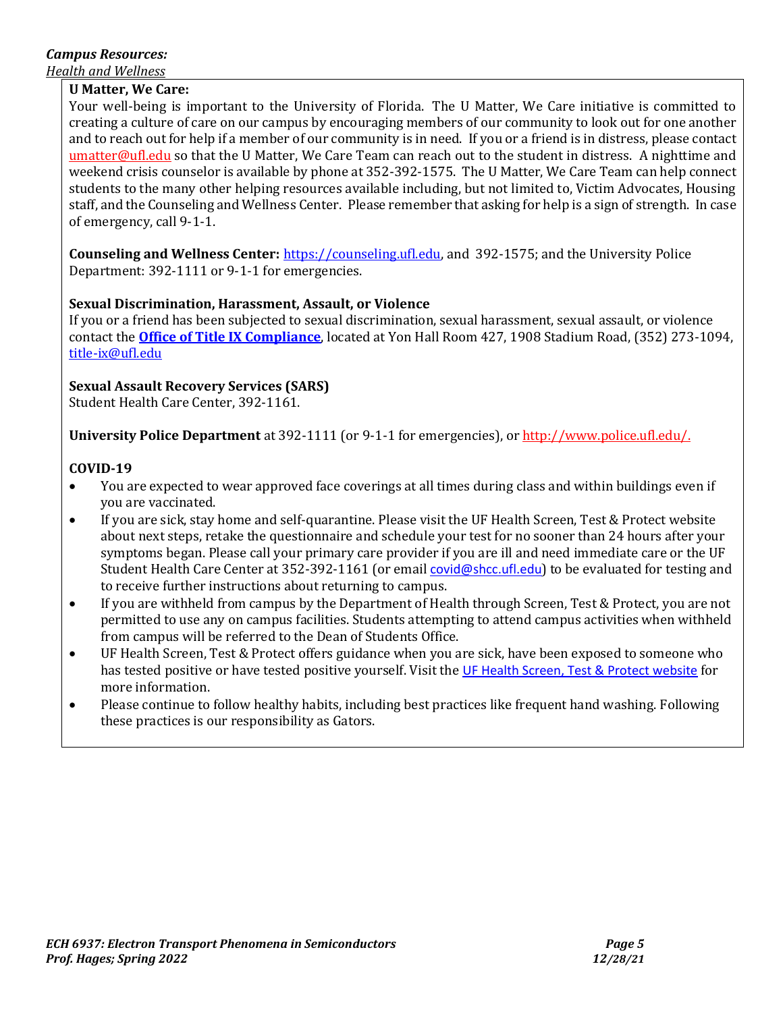# *Campus Resources:*

*Health and Wellness* 

### **U Matter, We Care:**

Your well-being is important to the University of Florida. The U Matter, We Care initiative is committed to creating a culture of care on our campus by encouraging members of our community to look out for one another and to reach out for help if a member of our community is in need. If you or a friend is in distress, please contact [umatter@ufl.edu](mailto:umatter@ufl.edu) so that the U Matter, We Care Team can reach out to the student in distress. A nighttime and weekend crisis counselor is available by phone at 352-392-1575. The U Matter, We Care Team can help connect students to the many other helping resources available including, but not limited to, Victim Advocates, Housing staff, and the Counseling and Wellness Center. Please remember that asking for help is a sign of strength. In case of emergency, call 9-1-1.

**Counseling and Wellness Center:** [https://counseling.ufl.edu,](https://counseling.ufl.edu/) and 392-1575; and the University Police Department: 392-1111 or 9-1-1 for emergencies.

### **Sexual Discrimination, Harassment, Assault, or Violence**

If you or a friend has been subjected to sexual discrimination, sexual harassment, sexual assault, or violence contact the **[Office of Title IX Compliance](https://titleix.ufl.edu/)**, located at Yon Hall Room 427, 1908 Stadium Road, (352) 273-1094, [title-ix@ufl.edu](mailto:title-ix@ufl.edu)

### **Sexual Assault Recovery Services (SARS)**

Student Health Care Center, 392-1161.

**University Police Department** at 392-1111 (or 9-1-1 for emergencies), o[r http://www.police.ufl.edu/.](http://www.police.ufl.edu/)

### **COVID-19**

- You are expected to wear approved face coverings at all times during class and within buildings even if you are vaccinated.
- If you are sick, stay home and self-quarantine. Please visit the UF Health Screen, Test & Protect website about next steps, retake the questionnaire and schedule your test for no sooner than 24 hours after your symptoms began. Please call your primary care provider if you are ill and need immediate care or the UF Student Health Care Center at 352-392-1161 (or email [covid@shcc.ufl.edu](mailto:covid@shcc.ufl.edu)) to be evaluated for testing and to receive further instructions about returning to campus.
- If you are withheld from campus by the Department of Health through Screen, Test & Protect, you are not permitted to use any on campus facilities. Students attempting to attend campus activities when withheld from campus will be referred to the Dean of Students Office.
- UF Health Screen, Test & Protect offers guidance when you are sick, have been exposed to someone who has tested positive or have tested positive yourself. Visit the [UF Health Screen, Test & Protect website](https://click.info.gator360.ufl.edu/?qs=8f0d5e01a3f7385148f144e2089093522a358a8d85cb9db73c31675d3c5e5c0d27748d40c212f544822551342f1912ea5b4f2b890d5952e8) for more information.
- Please continue to follow healthy habits, including best practices like frequent hand washing. Following these practices is our responsibility as Gators.